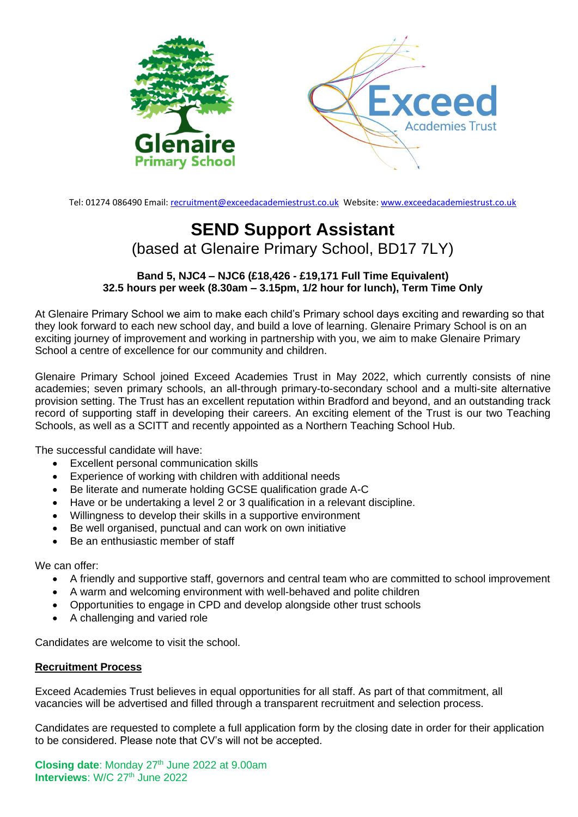

Tel: 01274 086490 Email: recruitment@exceedacademiestrust.co.uk Website[: www.exceedacademiestrust.co.uk](http://www.exceedacademiestrust.co.uk/)

## **SEND Support Assistant** (based at Glenaire Primary School, BD17 7LY)

**Band 5, NJC4 – NJC6 (£18,426 - £19,171 Full Time Equivalent) 32.5 hours per week (8.30am – 3.15pm, 1/2 hour for lunch), Term Time Only**

At Glenaire Primary School we aim to make each child's Primary school days exciting and rewarding so that they look forward to each new school day, and build a love of learning. Glenaire Primary School is on an exciting journey of improvement and working in partnership with you, we aim to make Glenaire Primary School a centre of excellence for our community and children.

Glenaire Primary School joined Exceed Academies Trust in May 2022, which currently consists of nine academies; seven primary schools, an all-through primary-to-secondary school and a multi-site alternative provision setting. The Trust has an excellent reputation within Bradford and beyond, and an outstanding track record of supporting staff in developing their careers. An exciting element of the Trust is our two Teaching Schools, as well as a SCITT and recently appointed as a Northern Teaching School Hub.

The successful candidate will have:

- Excellent personal communication skills
- Experience of working with children with additional needs
- Be literate and numerate holding GCSE qualification grade A-C
- Have or be undertaking a level 2 or 3 qualification in a relevant discipline.
- Willingness to develop their skills in a supportive environment
- Be well organised, punctual and can work on own initiative
- Be an enthusiastic member of staff

We can offer:

- A friendly and supportive staff, governors and central team who are committed to school improvement
- A warm and welcoming environment with well-behaved and polite children
- Opportunities to engage in CPD and develop alongside other trust schools
- A challenging and varied role

Candidates are welcome to visit the school.

## **Recruitment Process**

Exceed Academies Trust believes in equal opportunities for all staff. As part of that commitment, all vacancies will be advertised and filled through a transparent recruitment and selection process.

Candidates are requested to complete a full application form by the closing date in order for their application to be considered. Please note that CV's will not be accepted.

**Closing date**: Monday 27 th June 2022 at 9.00am Interviews: W/C 27<sup>th</sup> June 2022